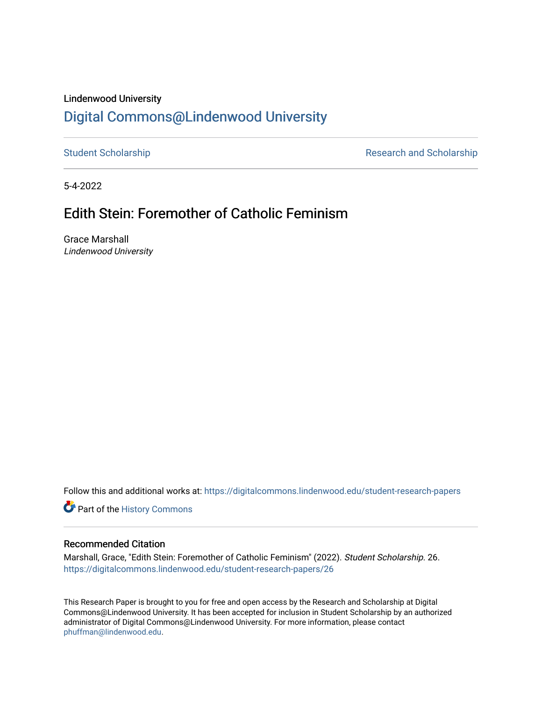#### Lindenwood University

# [Digital Commons@Lindenwood University](https://digitalcommons.lindenwood.edu/)

[Student Scholarship](https://digitalcommons.lindenwood.edu/student-research-papers) **Research and Scholarship** Research and Scholarship

5-4-2022

# Edith Stein: Foremother of Catholic Feminism

Grace Marshall Lindenwood University

Follow this and additional works at: [https://digitalcommons.lindenwood.edu/student-research-papers](https://digitalcommons.lindenwood.edu/student-research-papers?utm_source=digitalcommons.lindenwood.edu%2Fstudent-research-papers%2F26&utm_medium=PDF&utm_campaign=PDFCoverPages) 

**P** Part of the History Commons

#### Recommended Citation

Marshall, Grace, "Edith Stein: Foremother of Catholic Feminism" (2022). Student Scholarship. 26. [https://digitalcommons.lindenwood.edu/student-research-papers/26](https://digitalcommons.lindenwood.edu/student-research-papers/26?utm_source=digitalcommons.lindenwood.edu%2Fstudent-research-papers%2F26&utm_medium=PDF&utm_campaign=PDFCoverPages)

This Research Paper is brought to you for free and open access by the Research and Scholarship at Digital Commons@Lindenwood University. It has been accepted for inclusion in Student Scholarship by an authorized administrator of Digital Commons@Lindenwood University. For more information, please contact [phuffman@lindenwood.edu](mailto:phuffman@lindenwood.edu).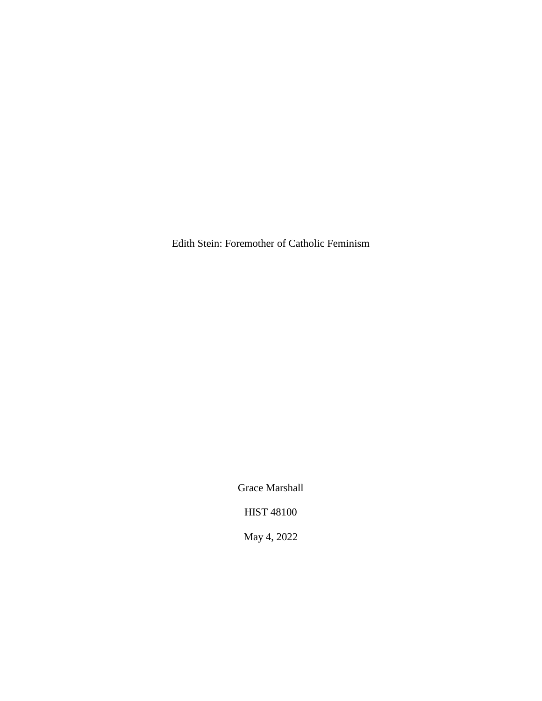Edith Stein: Foremother of Catholic Feminism

Grace Marshall

HIST 48100

May 4, 2022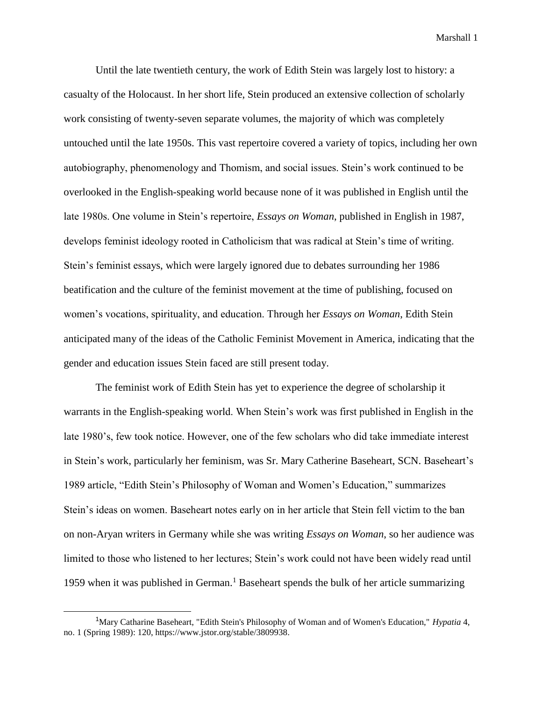Until the late twentieth century, the work of Edith Stein was largely lost to history: a casualty of the Holocaust. In her short life, Stein produced an extensive collection of scholarly work consisting of twenty-seven separate volumes, the majority of which was completely untouched until the late 1950s. This vast repertoire covered a variety of topics, including her own autobiography, phenomenology and Thomism, and social issues. Stein's work continued to be overlooked in the English-speaking world because none of it was published in English until the late 1980s. One volume in Stein's repertoire, *Essays on Woman*, published in English in 1987, develops feminist ideology rooted in Catholicism that was radical at Stein's time of writing. Stein's feminist essays, which were largely ignored due to debates surrounding her 1986 beatification and the culture of the feminist movement at the time of publishing, focused on women's vocations, spirituality, and education. Through her *Essays on Woman*, Edith Stein anticipated many of the ideas of the Catholic Feminist Movement in America, indicating that the gender and education issues Stein faced are still present today.

The feminist work of Edith Stein has yet to experience the degree of scholarship it warrants in the English-speaking world. When Stein's work was first published in English in the late 1980's, few took notice. However, one of the few scholars who did take immediate interest in Stein's work, particularly her feminism, was Sr. Mary Catherine Baseheart, SCN. Baseheart's 1989 article, "Edith Stein's Philosophy of Woman and Women's Education," summarizes Stein's ideas on women. Baseheart notes early on in her article that Stein fell victim to the ban on non-Aryan writers in Germany while she was writing *Essays on Woman*, so her audience was limited to those who listened to her lectures; Stein's work could not have been widely read until 1959 when it was published in German.<sup>1</sup> Baseheart spends the bulk of her article summarizing

<sup>1</sup>Mary Catharine Baseheart, "Edith Stein's Philosophy of Woman and of Women's Education," *Hypatia* 4, no. 1 (Spring 1989): 120, https://www.jstor.org/stable/3809938.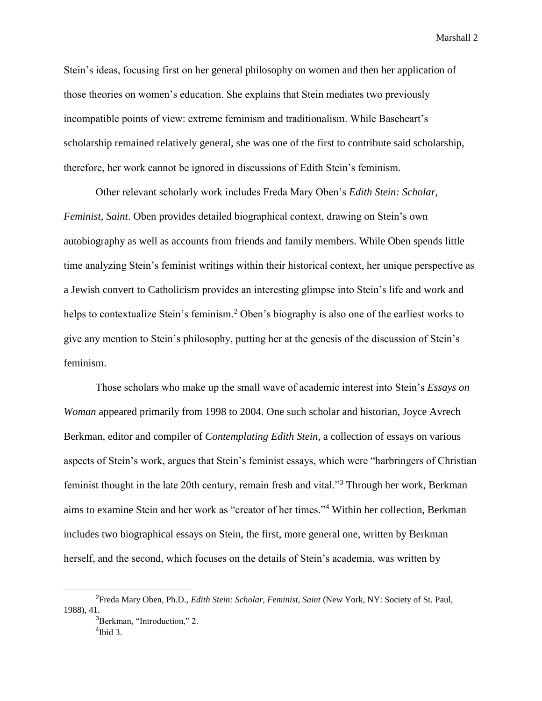Stein's ideas, focusing first on her general philosophy on women and then her application of those theories on women's education. She explains that Stein mediates two previously incompatible points of view: extreme feminism and traditionalism. While Baseheart's scholarship remained relatively general, she was one of the first to contribute said scholarship, therefore, her work cannot be ignored in discussions of Edith Stein's feminism.

Other relevant scholarly work includes Freda Mary Oben's *Edith Stein: Scholar, Feminist, Saint*. Oben provides detailed biographical context, drawing on Stein's own autobiography as well as accounts from friends and family members. While Oben spends little time analyzing Stein's feminist writings within their historical context, her unique perspective as a Jewish convert to Catholicism provides an interesting glimpse into Stein's life and work and helps to contextualize Stein's feminism.<sup>2</sup> Oben's biography is also one of the earliest works to give any mention to Stein's philosophy, putting her at the genesis of the discussion of Stein's feminism.

Those scholars who make up the small wave of academic interest into Stein's *Essays on Woman* appeared primarily from 1998 to 2004. One such scholar and historian, Joyce Avrech Berkman, editor and compiler of *Contemplating Edith Stein*, a collection of essays on various aspects of Stein's work, argues that Stein's feminist essays, which were "harbringers of Christian feminist thought in the late 20th century, remain fresh and vital."<sup>3</sup> Through her work, Berkman aims to examine Stein and her work as "creator of her times."<sup>4</sup> Within her collection, Berkman includes two biographical essays on Stein, the first, more general one, written by Berkman herself, and the second, which focuses on the details of Stein's academia, was written by

<sup>2</sup>Freda Mary Oben, Ph.D., *Edith Stein: Scholar, Feminist, Saint* (New York, NY: Society of St. Paul, 1988), 41.

<sup>&</sup>lt;sup>3</sup>Berkman, "Introduction," 2.  $4$ Ibid 3.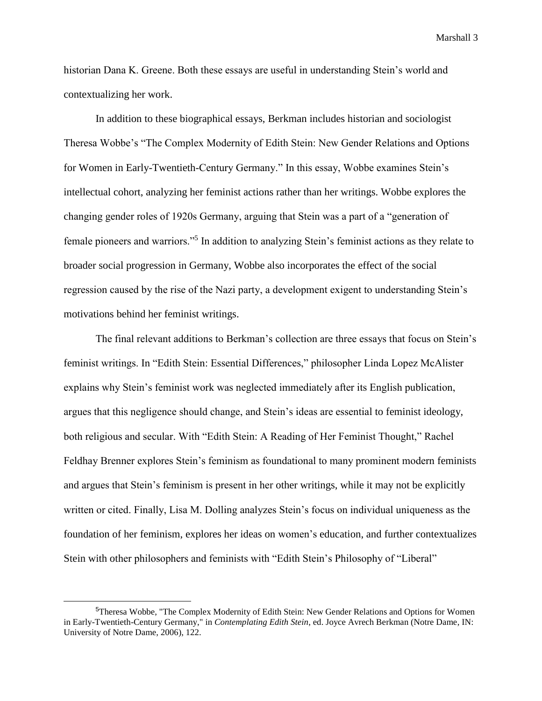historian Dana K. Greene. Both these essays are useful in understanding Stein's world and contextualizing her work.

In addition to these biographical essays, Berkman includes historian and sociologist Theresa Wobbe's "The Complex Modernity of Edith Stein: New Gender Relations and Options for Women in Early-Twentieth-Century Germany." In this essay, Wobbe examines Stein's intellectual cohort, analyzing her feminist actions rather than her writings. Wobbe explores the changing gender roles of 1920s Germany, arguing that Stein was a part of a "generation of female pioneers and warriors."<sup>5</sup> In addition to analyzing Stein's feminist actions as they relate to broader social progression in Germany, Wobbe also incorporates the effect of the social regression caused by the rise of the Nazi party, a development exigent to understanding Stein's motivations behind her feminist writings.

The final relevant additions to Berkman's collection are three essays that focus on Stein's feminist writings. In "Edith Stein: Essential Differences," philosopher Linda Lopez McAlister explains why Stein's feminist work was neglected immediately after its English publication, argues that this negligence should change, and Stein's ideas are essential to feminist ideology, both religious and secular. With "Edith Stein: A Reading of Her Feminist Thought," Rachel Feldhay Brenner explores Stein's feminism as foundational to many prominent modern feminists and argues that Stein's feminism is present in her other writings, while it may not be explicitly written or cited. Finally, Lisa M. Dolling analyzes Stein's focus on individual uniqueness as the foundation of her feminism, explores her ideas on women's education, and further contextualizes Stein with other philosophers and feminists with "Edith Stein's Philosophy of "Liberal"

<sup>5</sup>Theresa Wobbe, "The Complex Modernity of Edith Stein: New Gender Relations and Options for Women in Early-Twentieth-Century Germany," in *Contemplating Edith Stein*, ed. Joyce Avrech Berkman (Notre Dame, IN: University of Notre Dame, 2006), 122.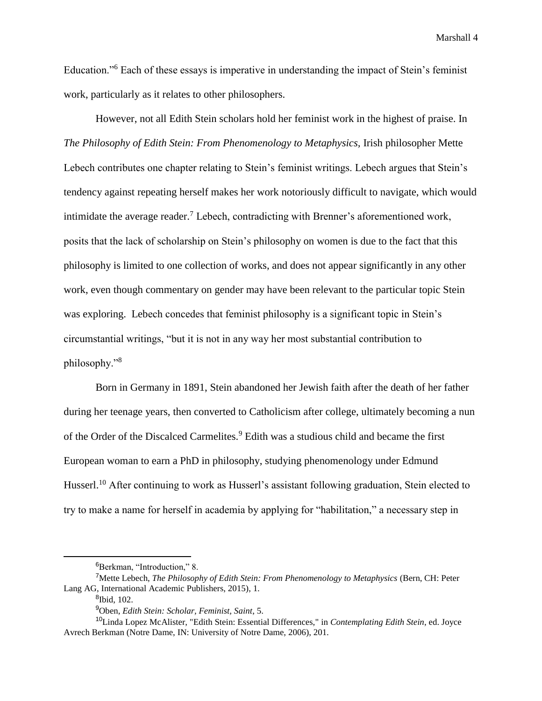Education."<sup>6</sup> Each of these essays is imperative in understanding the impact of Stein's feminist work, particularly as it relates to other philosophers.

However, not all Edith Stein scholars hold her feminist work in the highest of praise. In *The Philosophy of Edith Stein: From Phenomenology to Metaphysics,* Irish philosopher Mette Lebech contributes one chapter relating to Stein's feminist writings. Lebech argues that Stein's tendency against repeating herself makes her work notoriously difficult to navigate, which would intimidate the average reader.<sup>7</sup> Lebech, contradicting with Brenner's aforementioned work, posits that the lack of scholarship on Stein's philosophy on women is due to the fact that this philosophy is limited to one collection of works, and does not appear significantly in any other work, even though commentary on gender may have been relevant to the particular topic Stein was exploring. Lebech concedes that feminist philosophy is a significant topic in Stein's circumstantial writings, "but it is not in any way her most substantial contribution to philosophy."<sup>8</sup>

Born in Germany in 1891, Stein abandoned her Jewish faith after the death of her father during her teenage years, then converted to Catholicism after college, ultimately becoming a nun of the Order of the Discalced Carmelites.<sup>9</sup> Edith was a studious child and became the first European woman to earn a PhD in philosophy, studying phenomenology under Edmund Husserl.<sup>10</sup> After continuing to work as Husserl's assistant following graduation, Stein elected to try to make a name for herself in academia by applying for "habilitation," a necessary step in

<sup>6</sup>Berkman, "Introduction," 8.

<sup>7</sup>Mette Lebech, *The Philosophy of Edith Stein: From Phenomenology to Metaphysics* (Bern, CH: Peter Lang AG, International Academic Publishers, 2015), 1.

<sup>&</sup>lt;sup>8</sup>Ibid, 102.

<sup>9</sup>Oben, *Edith Stein: Scholar, Feminist, Saint*, 5.

<sup>10</sup>Linda Lopez McAlister, "Edith Stein: Essential Differences," in *Contemplating Edith Stein*, ed. Joyce Avrech Berkman (Notre Dame, IN: University of Notre Dame, 2006), 201.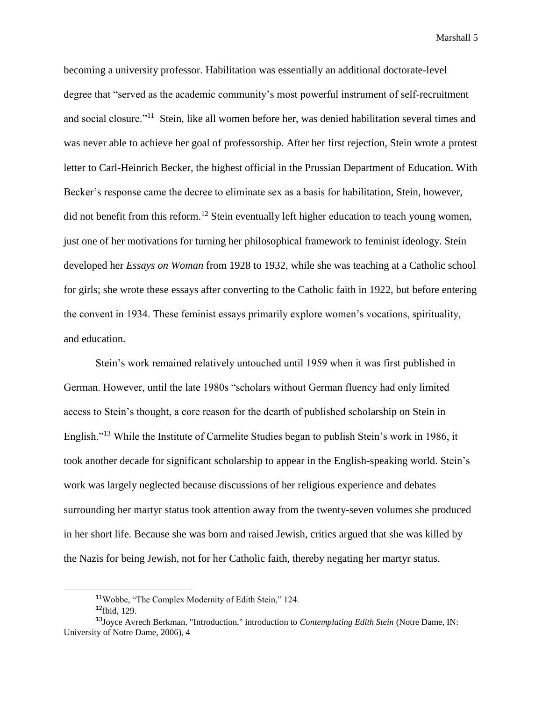becoming a university professor. Habilitation was essentially an additional doctorate-level degree that "served as the academic community's most powerful instrument of self-recruitment and social closure."<sup>11</sup> Stein, like all women before her, was denied habilitation several times and was never able to achieve her goal of professorship. After her first rejection, Stein wrote a protest letter to Carl-Heinrich Becker, the highest official in the Prussian Department of Education. With Becker's response came the decree to eliminate sex as a basis for habilitation, Stein, however, did not benefit from this reform.<sup>12</sup> Stein eventually left higher education to teach young women, just one of her motivations for turning her philosophical framework to feminist ideology. Stein developed her *Essays on Woman* from 1928 to 1932, while she was teaching at a Catholic school for girls; she wrote these essays after converting to the Catholic faith in 1922, but before entering the convent in 1934. These feminist essays primarily explore women's vocations, spirituality, and education.

Stein's work remained relatively untouched until 1959 when it was first published in German. However, until the late 1980s "scholars without German fluency had only limited access to Stein's thought, a core reason for the dearth of published scholarship on Stein in English."<sup>13</sup> While the Institute of Carmelite Studies began to publish Stein's work in 1986, it took another decade for significant scholarship to appear in the English-speaking world. Stein's work was largely neglected because discussions of her religious experience and debates surrounding her martyr status took attention away from the twenty-seven volumes she produced in her short life. Because she was born and raised Jewish, critics argued that she was killed by the Nazis for being Jewish, not for her Catholic faith, thereby negating her martyr status.

<sup>11</sup>Wobbe, "The Complex Modernity of Edith Stein," 124.

<sup>12</sup>Ibid, 129.

<sup>13</sup>Joyce Avrech Berkman, "Introduction," introduction to *Contemplating Edith Stein* (Notre Dame, IN: University of Notre Dame, 2006), 4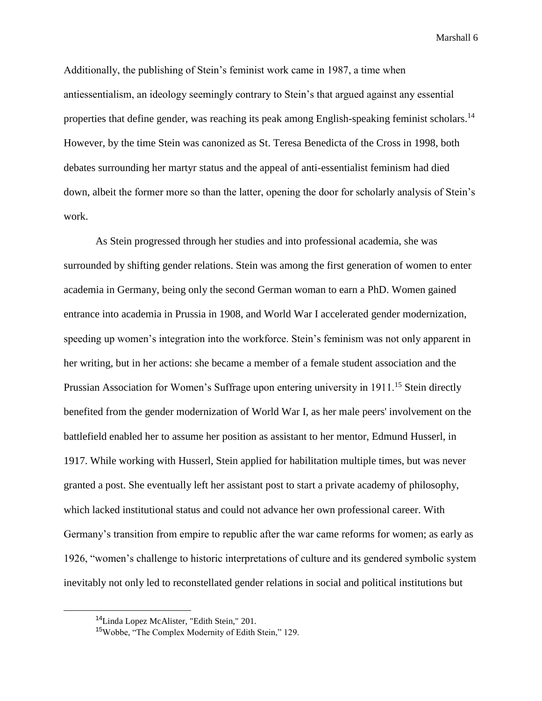Additionally, the publishing of Stein's feminist work came in 1987, a time when antiessentialism, an ideology seemingly contrary to Stein's that argued against any essential properties that define gender, was reaching its peak among English-speaking feminist scholars.<sup>14</sup> However, by the time Stein was canonized as St. Teresa Benedicta of the Cross in 1998, both debates surrounding her martyr status and the appeal of anti-essentialist feminism had died down, albeit the former more so than the latter, opening the door for scholarly analysis of Stein's work.

As Stein progressed through her studies and into professional academia, she was surrounded by shifting gender relations. Stein was among the first generation of women to enter academia in Germany, being only the second German woman to earn a PhD. Women gained entrance into academia in Prussia in 1908, and World War I accelerated gender modernization, speeding up women's integration into the workforce. Stein's feminism was not only apparent in her writing, but in her actions: she became a member of a female student association and the Prussian Association for Women's Suffrage upon entering university in 1911.<sup>15</sup> Stein directly benefited from the gender modernization of World War I, as her male peers' involvement on the battlefield enabled her to assume her position as assistant to her mentor, Edmund Husserl, in 1917. While working with Husserl, Stein applied for habilitation multiple times, but was never granted a post. She eventually left her assistant post to start a private academy of philosophy, which lacked institutional status and could not advance her own professional career. With Germany's transition from empire to republic after the war came reforms for women; as early as 1926, "women's challenge to historic interpretations of culture and its gendered symbolic system inevitably not only led to reconstellated gender relations in social and political institutions but

<sup>14</sup>Linda Lopez McAlister, "Edith Stein," 201.

<sup>&</sup>lt;sup>15</sup>Wobbe, "The Complex Modernity of Edith Stein," 129.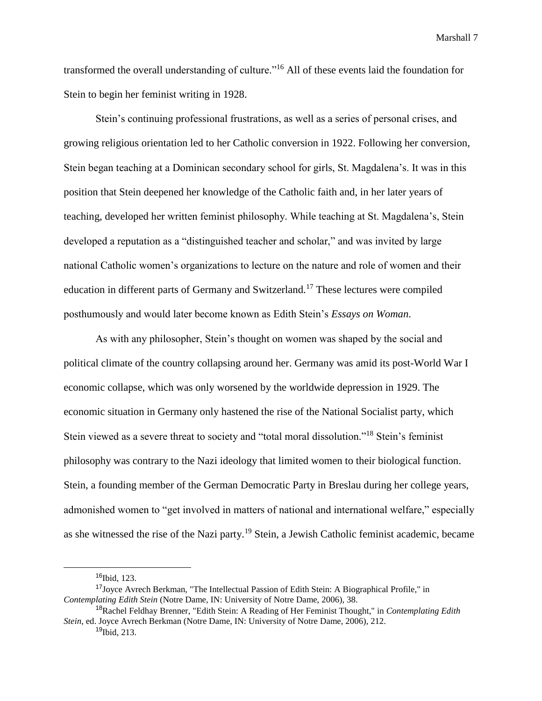transformed the overall understanding of culture."<sup>16</sup> All of these events laid the foundation for Stein to begin her feminist writing in 1928.

Stein's continuing professional frustrations, as well as a series of personal crises, and growing religious orientation led to her Catholic conversion in 1922. Following her conversion, Stein began teaching at a Dominican secondary school for girls, St. Magdalena's. It was in this position that Stein deepened her knowledge of the Catholic faith and, in her later years of teaching, developed her written feminist philosophy. While teaching at St. Magdalena's, Stein developed a reputation as a "distinguished teacher and scholar," and was invited by large national Catholic women's organizations to lecture on the nature and role of women and their education in different parts of Germany and Switzerland.<sup>17</sup> These lectures were compiled posthumously and would later become known as Edith Stein's *Essays on Woman*.

As with any philosopher, Stein's thought on women was shaped by the social and political climate of the country collapsing around her. Germany was amid its post-World War I economic collapse, which was only worsened by the worldwide depression in 1929. The economic situation in Germany only hastened the rise of the National Socialist party, which Stein viewed as a severe threat to society and "total moral dissolution."<sup>18</sup> Stein's feminist philosophy was contrary to the Nazi ideology that limited women to their biological function. Stein, a founding member of the German Democratic Party in Breslau during her college years, admonished women to "get involved in matters of national and international welfare," especially as she witnessed the rise of the Nazi party.<sup>19</sup> Stein, a Jewish Catholic feminist academic, became

<sup>16</sup>Ibid, 123.

<sup>&</sup>lt;sup>17</sup>Joyce Avrech Berkman, "The Intellectual Passion of Edith Stein: A Biographical Profile," in *Contemplating Edith Stein* (Notre Dame, IN: University of Notre Dame, 2006), 38.

<sup>18</sup>Rachel Feldhay Brenner, "Edith Stein: A Reading of Her Feminist Thought," in *Contemplating Edith Stein*, ed. Joyce Avrech Berkman (Notre Dame, IN: University of Notre Dame, 2006), 212.

 $19$ Ibid, 213.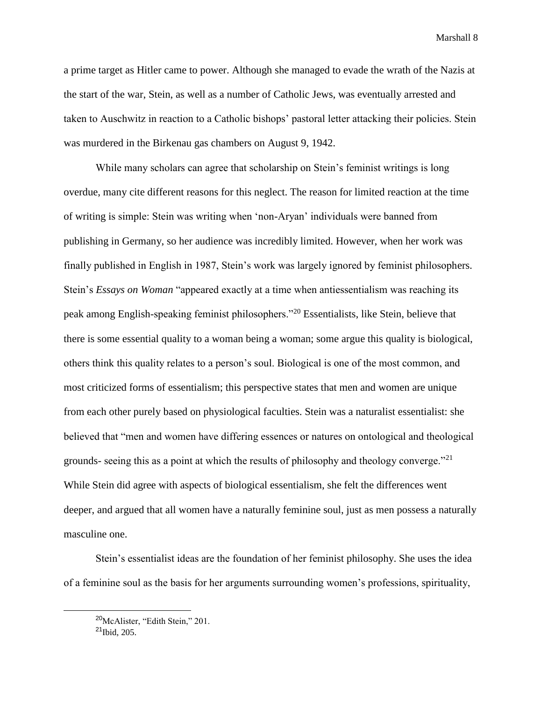a prime target as Hitler came to power. Although she managed to evade the wrath of the Nazis at the start of the war, Stein, as well as a number of Catholic Jews, was eventually arrested and taken to Auschwitz in reaction to a Catholic bishops' pastoral letter attacking their policies. Stein was murdered in the Birkenau gas chambers on August 9, 1942.

While many scholars can agree that scholarship on Stein's feminist writings is long overdue, many cite different reasons for this neglect. The reason for limited reaction at the time of writing is simple: Stein was writing when 'non-Aryan' individuals were banned from publishing in Germany, so her audience was incredibly limited. However, when her work was finally published in English in 1987, Stein's work was largely ignored by feminist philosophers. Stein's *Essays on Woman* "appeared exactly at a time when antiessentialism was reaching its peak among English-speaking feminist philosophers."<sup>20</sup> Essentialists, like Stein, believe that there is some essential quality to a woman being a woman; some argue this quality is biological, others think this quality relates to a person's soul. Biological is one of the most common, and most criticized forms of essentialism; this perspective states that men and women are unique from each other purely based on physiological faculties. Stein was a naturalist essentialist: she believed that "men and women have differing essences or natures on ontological and theological grounds- seeing this as a point at which the results of philosophy and theology converge."<sup>21</sup> While Stein did agree with aspects of biological essentialism, she felt the differences went deeper, and argued that all women have a naturally feminine soul, just as men possess a naturally masculine one.

Stein's essentialist ideas are the foundation of her feminist philosophy. She uses the idea of a feminine soul as the basis for her arguments surrounding women's professions, spirituality,

<sup>20</sup>McAlister, "Edith Stein," 201.  $^{21}$ Ibid, 205.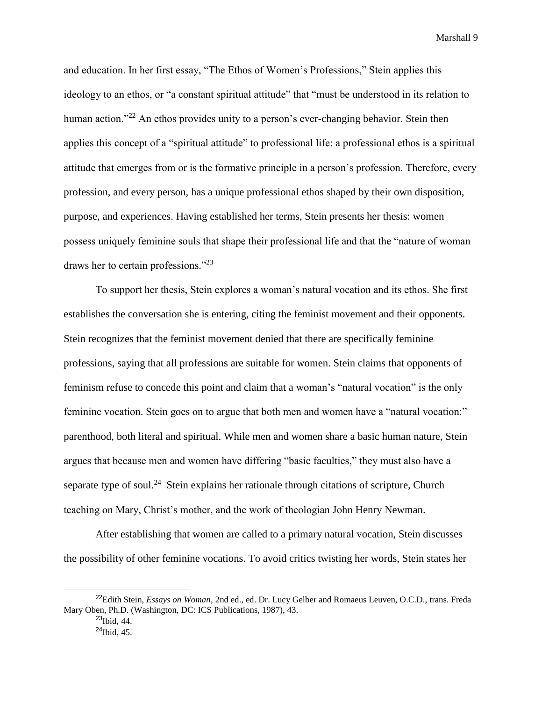and education. In her first essay, "The Ethos of Women's Professions," Stein applies this ideology to an ethos, or "a constant spiritual attitude" that "must be understood in its relation to human action."<sup>22</sup> An ethos provides unity to a person's ever-changing behavior. Stein then applies this concept of a "spiritual attitude" to professional life: a professional ethos is a spiritual attitude that emerges from or is the formative principle in a person's profession. Therefore, every profession, and every person, has a unique professional ethos shaped by their own disposition, purpose, and experiences. Having established her terms, Stein presents her thesis: women possess uniquely feminine souls that shape their professional life and that the "nature of woman draws her to certain professions."<sup>23</sup>

To support her thesis, Stein explores a woman's natural vocation and its ethos. She first establishes the conversation she is entering, citing the feminist movement and their opponents. Stein recognizes that the feminist movement denied that there are specifically feminine professions, saying that all professions are suitable for women. Stein claims that opponents of feminism refuse to concede this point and claim that a woman's "natural vocation" is the only feminine vocation. Stein goes on to argue that both men and women have a "natural vocation:" parenthood, both literal and spiritual. While men and women share a basic human nature, Stein argues that because men and women have differing "basic faculties," they must also have a separate type of soul.<sup>24</sup> Stein explains her rationale through citations of scripture, Church teaching on Mary, Christ's mother, and the work of theologian John Henry Newman.

After establishing that women are called to a primary natural vocation, Stein discusses the possibility of other feminine vocations. To avoid critics twisting her words, Stein states her

<sup>22</sup>Edith Stein, *Essays on Woman*, 2nd ed., ed. Dr. Lucy Gelber and Romaeus Leuven, O.C.D., trans. Freda Mary Oben, Ph.D. (Washington, DC: ICS Publications, 1987), 43.

 $^{23}$ Ibid, 44.

<sup>24</sup>Ibid*,* 45.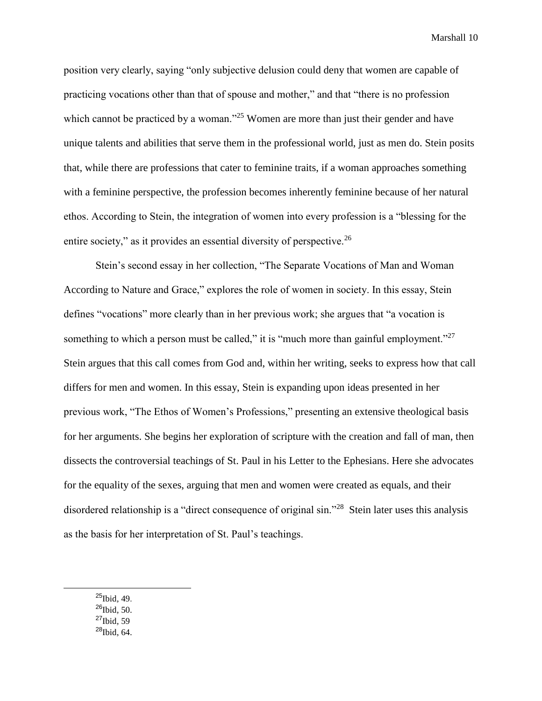position very clearly, saying "only subjective delusion could deny that women are capable of practicing vocations other than that of spouse and mother," and that "there is no profession which cannot be practiced by a woman."<sup>25</sup> Women are more than just their gender and have unique talents and abilities that serve them in the professional world, just as men do. Stein posits that, while there are professions that cater to feminine traits, if a woman approaches something with a feminine perspective, the profession becomes inherently feminine because of her natural ethos. According to Stein, the integration of women into every profession is a "blessing for the entire society," as it provides an essential diversity of perspective.<sup>26</sup>

Stein's second essay in her collection, "The Separate Vocations of Man and Woman According to Nature and Grace," explores the role of women in society. In this essay, Stein defines "vocations" more clearly than in her previous work; she argues that "a vocation is something to which a person must be called," it is "much more than gainful employment."<sup>27</sup> Stein argues that this call comes from God and, within her writing, seeks to express how that call differs for men and women. In this essay, Stein is expanding upon ideas presented in her previous work, "The Ethos of Women's Professions," presenting an extensive theological basis for her arguments. She begins her exploration of scripture with the creation and fall of man, then dissects the controversial teachings of St. Paul in his Letter to the Ephesians. Here she advocates for the equality of the sexes, arguing that men and women were created as equals, and their disordered relationship is a "direct consequence of original sin."<sup>28</sup> Stein later uses this analysis as the basis for her interpretation of St. Paul's teachings.

<sup>25</sup>Ibid*,* 49.

<sup>26</sup>Ibid*,* 50.

<sup>27</sup>Ibid*,* 59

 $^{28}$ Ibid, 64.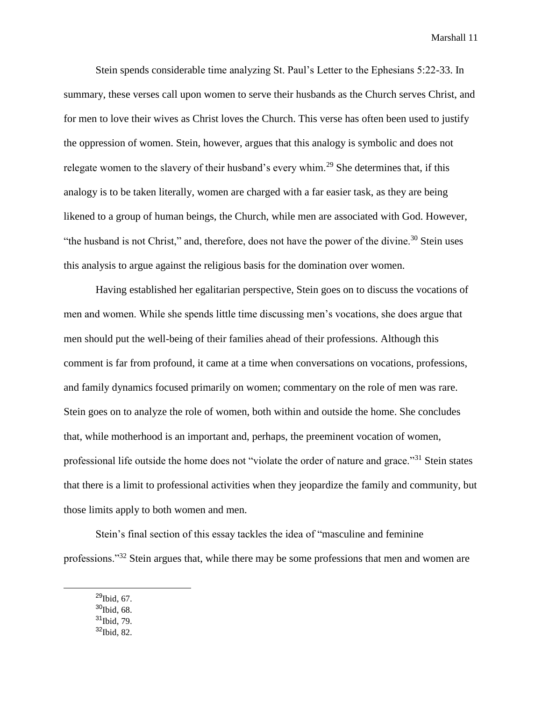Stein spends considerable time analyzing St. Paul's Letter to the Ephesians 5:22-33. In summary, these verses call upon women to serve their husbands as the Church serves Christ, and for men to love their wives as Christ loves the Church. This verse has often been used to justify the oppression of women. Stein, however, argues that this analogy is symbolic and does not relegate women to the slavery of their husband's every whim.<sup>29</sup> She determines that, if this analogy is to be taken literally, women are charged with a far easier task, as they are being likened to a group of human beings, the Church, while men are associated with God. However, "the husband is not Christ," and, therefore, does not have the power of the divine. $30$  Stein uses this analysis to argue against the religious basis for the domination over women.

Having established her egalitarian perspective, Stein goes on to discuss the vocations of men and women. While she spends little time discussing men's vocations, she does argue that men should put the well-being of their families ahead of their professions. Although this comment is far from profound, it came at a time when conversations on vocations, professions, and family dynamics focused primarily on women; commentary on the role of men was rare. Stein goes on to analyze the role of women, both within and outside the home. She concludes that, while motherhood is an important and, perhaps, the preeminent vocation of women, professional life outside the home does not "violate the order of nature and grace."<sup>31</sup> Stein states that there is a limit to professional activities when they jeopardize the family and community, but those limits apply to both women and men.

Stein's final section of this essay tackles the idea of "masculine and feminine professions."<sup>32</sup> Stein argues that, while there may be some professions that men and women are

<sup>29</sup>Ibid, 67.

<sup>30</sup>Ibid, 68.

<sup>31&</sup>lt;sub>Ibid</sub>, 79.

 $32$ Ibid, 82.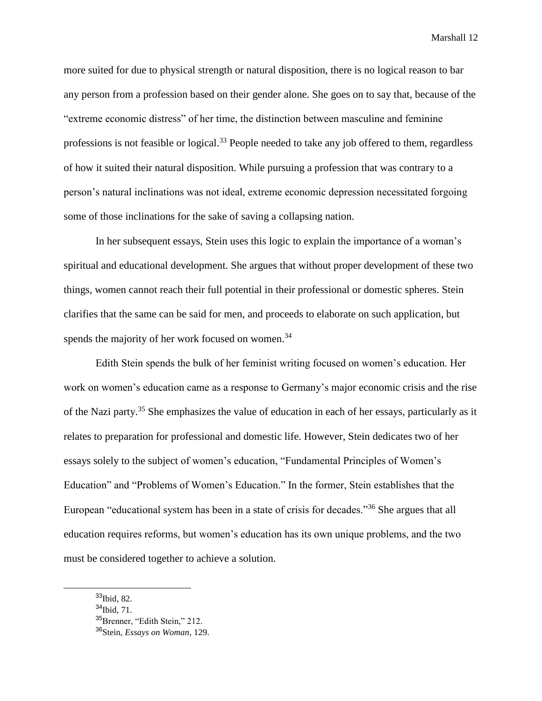more suited for due to physical strength or natural disposition, there is no logical reason to bar any person from a profession based on their gender alone. She goes on to say that, because of the "extreme economic distress" of her time, the distinction between masculine and feminine professions is not feasible or logical.<sup>33</sup> People needed to take any job offered to them, regardless of how it suited their natural disposition. While pursuing a profession that was contrary to a person's natural inclinations was not ideal, extreme economic depression necessitated forgoing some of those inclinations for the sake of saving a collapsing nation.

In her subsequent essays, Stein uses this logic to explain the importance of a woman's spiritual and educational development. She argues that without proper development of these two things, women cannot reach their full potential in their professional or domestic spheres. Stein clarifies that the same can be said for men, and proceeds to elaborate on such application, but spends the majority of her work focused on women.<sup>34</sup>

Edith Stein spends the bulk of her feminist writing focused on women's education. Her work on women's education came as a response to Germany's major economic crisis and the rise of the Nazi party.<sup>35</sup> She emphasizes the value of education in each of her essays, particularly as it relates to preparation for professional and domestic life. However, Stein dedicates two of her essays solely to the subject of women's education, "Fundamental Principles of Women's Education" and "Problems of Women's Education." In the former, Stein establishes that the European "educational system has been in a state of crisis for decades."<sup>36</sup> She argues that all education requires reforms, but women's education has its own unique problems, and the two must be considered together to achieve a solution.

<sup>33</sup>Ibid, 82.

<sup>34</sup>Ibid, 71.

<sup>35</sup>Brenner, "Edith Stein," 212.

<sup>36</sup>Stein, *Essays on Woman*, 129.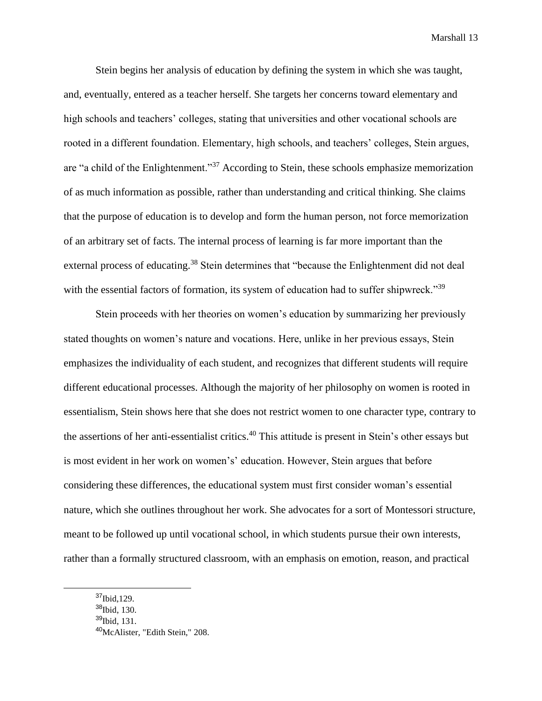Stein begins her analysis of education by defining the system in which she was taught, and, eventually, entered as a teacher herself. She targets her concerns toward elementary and high schools and teachers' colleges, stating that universities and other vocational schools are rooted in a different foundation. Elementary, high schools, and teachers' colleges, Stein argues, are "a child of the Enlightenment."<sup>37</sup> According to Stein, these schools emphasize memorization of as much information as possible, rather than understanding and critical thinking. She claims that the purpose of education is to develop and form the human person, not force memorization of an arbitrary set of facts. The internal process of learning is far more important than the external process of educating.<sup>38</sup> Stein determines that "because the Enlightenment did not deal with the essential factors of formation, its system of education had to suffer shipwreck."<sup>39</sup>

Stein proceeds with her theories on women's education by summarizing her previously stated thoughts on women's nature and vocations. Here, unlike in her previous essays, Stein emphasizes the individuality of each student, and recognizes that different students will require different educational processes. Although the majority of her philosophy on women is rooted in essentialism, Stein shows here that she does not restrict women to one character type, contrary to the assertions of her anti-essentialist critics.<sup>40</sup> This attitude is present in Stein's other essays but is most evident in her work on women's' education. However, Stein argues that before considering these differences, the educational system must first consider woman's essential nature, which she outlines throughout her work. She advocates for a sort of Montessori structure, meant to be followed up until vocational school, in which students pursue their own interests, rather than a formally structured classroom, with an emphasis on emotion, reason, and practical

<sup>37</sup>Ibid,129.

<sup>38</sup>Ibid, 130.

 $39$ Ibid, 131.

<sup>&</sup>lt;sup>40</sup>McAlister, "Edith Stein," 208.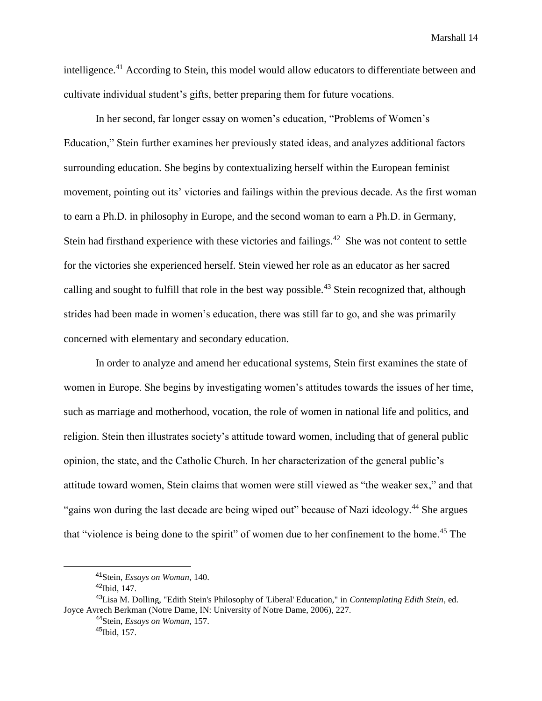intelligence.<sup>41</sup> According to Stein, this model would allow educators to differentiate between and cultivate individual student's gifts, better preparing them for future vocations.

In her second, far longer essay on women's education, "Problems of Women's Education," Stein further examines her previously stated ideas, and analyzes additional factors surrounding education. She begins by contextualizing herself within the European feminist movement, pointing out its' victories and failings within the previous decade. As the first woman to earn a Ph.D. in philosophy in Europe, and the second woman to earn a Ph.D. in Germany, Stein had firsthand experience with these victories and failings.<sup>42</sup> She was not content to settle for the victories she experienced herself. Stein viewed her role as an educator as her sacred calling and sought to fulfill that role in the best way possible.<sup>43</sup> Stein recognized that, although strides had been made in women's education, there was still far to go, and she was primarily concerned with elementary and secondary education.

In order to analyze and amend her educational systems, Stein first examines the state of women in Europe. She begins by investigating women's attitudes towards the issues of her time, such as marriage and motherhood, vocation, the role of women in national life and politics, and religion. Stein then illustrates society's attitude toward women, including that of general public opinion, the state, and the Catholic Church. In her characterization of the general public's attitude toward women, Stein claims that women were still viewed as "the weaker sex," and that "gains won during the last decade are being wiped out" because of Nazi ideology.<sup>44</sup> She argues that "violence is being done to the spirit" of women due to her confinement to the home.<sup>45</sup> The

<sup>41</sup>Stein, *Essays on Woman*, 140.

 $42$ Ibid, 147.

<sup>43</sup>Lisa M. Dolling, "Edith Stein's Philosophy of 'Liberal' Education," in *Contemplating Edith Stein*, ed. Joyce Avrech Berkman (Notre Dame, IN: University of Notre Dame, 2006), 227.

<sup>44</sup>Stein, *Essays on Woman*, 157.  $45$ Ibid, 157.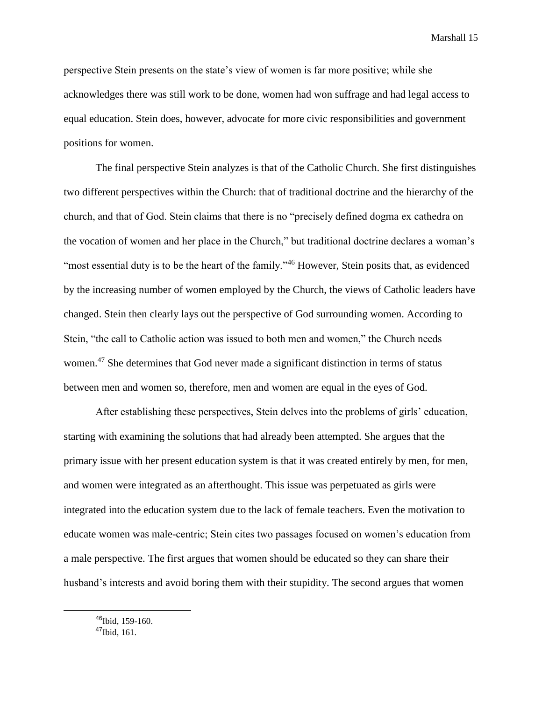perspective Stein presents on the state's view of women is far more positive; while she acknowledges there was still work to be done, women had won suffrage and had legal access to equal education. Stein does, however, advocate for more civic responsibilities and government positions for women.

The final perspective Stein analyzes is that of the Catholic Church. She first distinguishes two different perspectives within the Church: that of traditional doctrine and the hierarchy of the church, and that of God. Stein claims that there is no "precisely defined dogma ex cathedra on the vocation of women and her place in the Church," but traditional doctrine declares a woman's "most essential duty is to be the heart of the family."<sup>46</sup> However, Stein posits that, as evidenced by the increasing number of women employed by the Church, the views of Catholic leaders have changed. Stein then clearly lays out the perspective of God surrounding women. According to Stein, "the call to Catholic action was issued to both men and women," the Church needs women.<sup>47</sup> She determines that God never made a significant distinction in terms of status between men and women so, therefore, men and women are equal in the eyes of God.

After establishing these perspectives, Stein delves into the problems of girls' education, starting with examining the solutions that had already been attempted. She argues that the primary issue with her present education system is that it was created entirely by men, for men, and women were integrated as an afterthought. This issue was perpetuated as girls were integrated into the education system due to the lack of female teachers. Even the motivation to educate women was male-centric; Stein cites two passages focused on women's education from a male perspective. The first argues that women should be educated so they can share their husband's interests and avoid boring them with their stupidity. The second argues that women

 $46$ Ibid, 159-160. <sup>47</sup>Ibid, 161.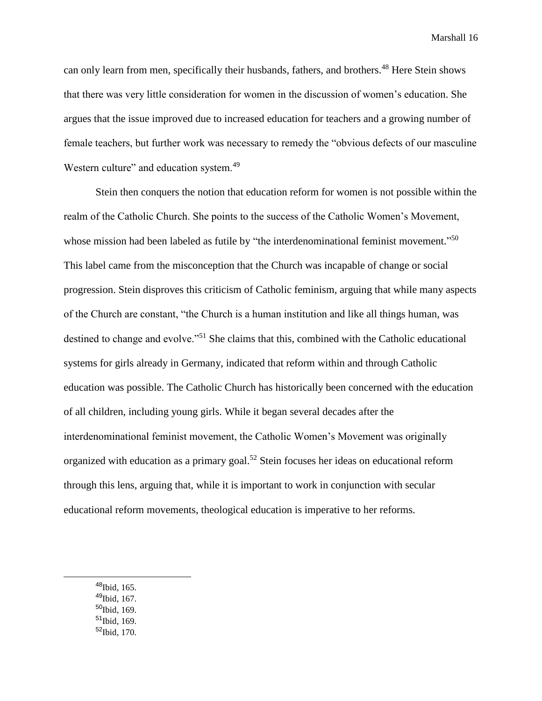can only learn from men, specifically their husbands, fathers, and brothers.<sup>48</sup> Here Stein shows that there was very little consideration for women in the discussion of women's education. She argues that the issue improved due to increased education for teachers and a growing number of female teachers, but further work was necessary to remedy the "obvious defects of our masculine Western culture" and education system.<sup>49</sup>

Stein then conquers the notion that education reform for women is not possible within the realm of the Catholic Church. She points to the success of the Catholic Women's Movement, whose mission had been labeled as futile by "the interdenominational feminist movement."<sup>50</sup> This label came from the misconception that the Church was incapable of change or social progression. Stein disproves this criticism of Catholic feminism, arguing that while many aspects of the Church are constant, "the Church is a human institution and like all things human, was destined to change and evolve."<sup>51</sup> She claims that this, combined with the Catholic educational systems for girls already in Germany, indicated that reform within and through Catholic education was possible. The Catholic Church has historically been concerned with the education of all children, including young girls. While it began several decades after the interdenominational feminist movement, the Catholic Women's Movement was originally organized with education as a primary goal.<sup>52</sup> Stein focuses her ideas on educational reform through this lens, arguing that, while it is important to work in conjunction with secular educational reform movements, theological education is imperative to her reforms.

- 50Ibid, 169.
- $51$ Ibid, 169.
- <sup>52</sup>Ibid, 170.

<sup>48</sup>Ibid, 165.

<sup>49</sup>Ibid, 167.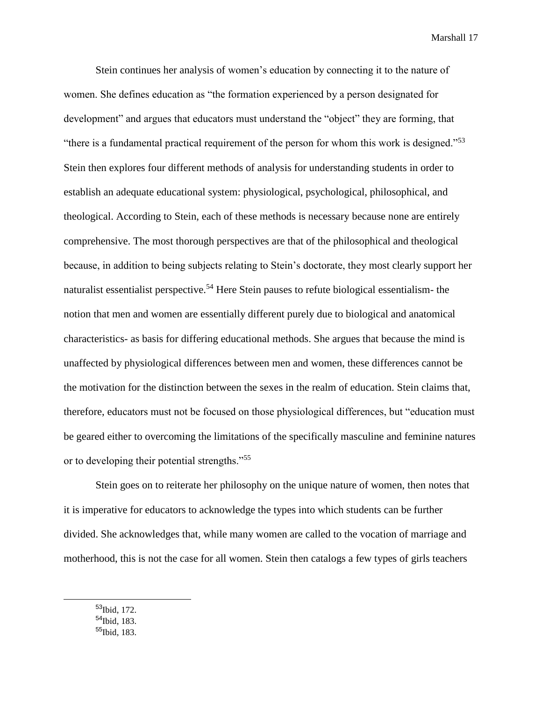Stein continues her analysis of women's education by connecting it to the nature of women. She defines education as "the formation experienced by a person designated for development" and argues that educators must understand the "object" they are forming, that "there is a fundamental practical requirement of the person for whom this work is designed."<sup>53</sup> Stein then explores four different methods of analysis for understanding students in order to establish an adequate educational system: physiological, psychological, philosophical, and theological. According to Stein, each of these methods is necessary because none are entirely comprehensive. The most thorough perspectives are that of the philosophical and theological because, in addition to being subjects relating to Stein's doctorate, they most clearly support her naturalist essentialist perspective.<sup>54</sup> Here Stein pauses to refute biological essentialism- the notion that men and women are essentially different purely due to biological and anatomical characteristics- as basis for differing educational methods. She argues that because the mind is unaffected by physiological differences between men and women, these differences cannot be the motivation for the distinction between the sexes in the realm of education. Stein claims that, therefore, educators must not be focused on those physiological differences, but "education must be geared either to overcoming the limitations of the specifically masculine and feminine natures or to developing their potential strengths."<sup>55</sup>

Stein goes on to reiterate her philosophy on the unique nature of women, then notes that it is imperative for educators to acknowledge the types into which students can be further divided. She acknowledges that, while many women are called to the vocation of marriage and motherhood, this is not the case for all women. Stein then catalogs a few types of girls teachers

<sup>53</sup>Ibid, 172.

<sup>54</sup>Ibid, 183.

<sup>&</sup>lt;sup>55</sup>Ibid, 183.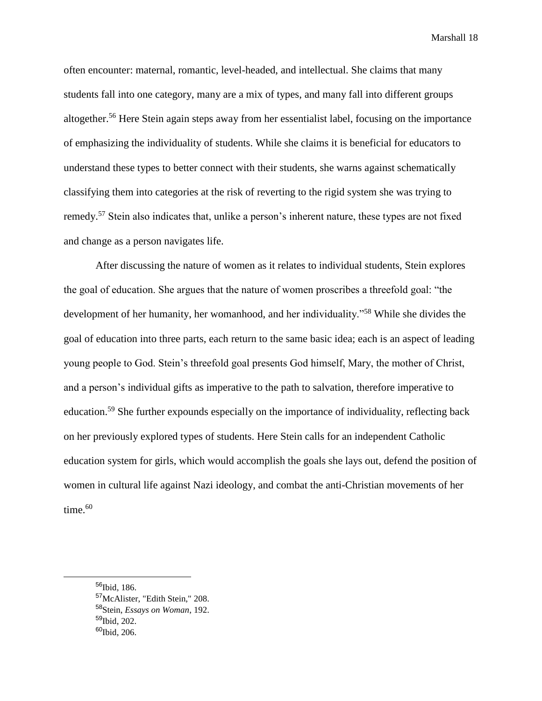often encounter: maternal, romantic, level-headed, and intellectual. She claims that many students fall into one category, many are a mix of types, and many fall into different groups altogether.<sup>56</sup> Here Stein again steps away from her essentialist label, focusing on the importance of emphasizing the individuality of students. While she claims it is beneficial for educators to understand these types to better connect with their students, she warns against schematically classifying them into categories at the risk of reverting to the rigid system she was trying to remedy.<sup>57</sup> Stein also indicates that, unlike a person's inherent nature, these types are not fixed and change as a person navigates life.

After discussing the nature of women as it relates to individual students, Stein explores the goal of education. She argues that the nature of women proscribes a threefold goal: "the development of her humanity, her womanhood, and her individuality."<sup>58</sup> While she divides the goal of education into three parts, each return to the same basic idea; each is an aspect of leading young people to God. Stein's threefold goal presents God himself, Mary, the mother of Christ, and a person's individual gifts as imperative to the path to salvation, therefore imperative to education.<sup>59</sup> She further expounds especially on the importance of individuality, reflecting back on her previously explored types of students. Here Stein calls for an independent Catholic education system for girls, which would accomplish the goals she lays out, defend the position of women in cultural life against Nazi ideology, and combat the anti-Christian movements of her time. $60$ 

Ibid, 186. McAlister, "Edith Stein," 208. Stein, *Essays on Woman*, 192. <sup>59</sup>Ibid, 202. Ibid, 206.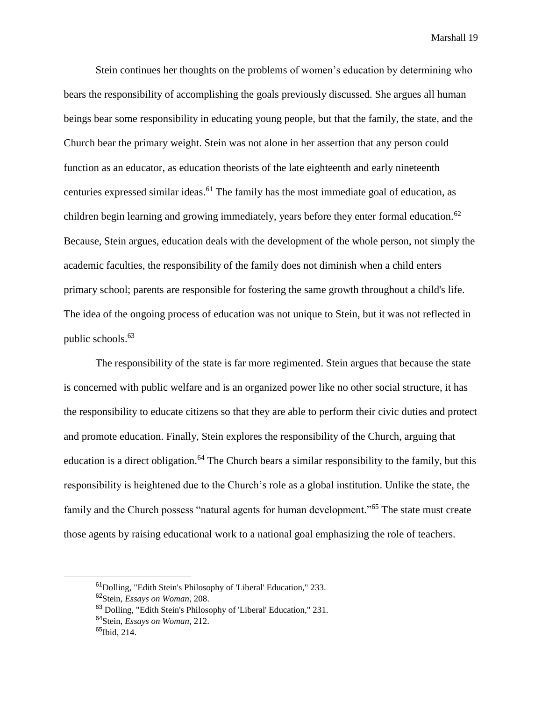Stein continues her thoughts on the problems of women's education by determining who bears the responsibility of accomplishing the goals previously discussed. She argues all human beings bear some responsibility in educating young people, but that the family, the state, and the Church bear the primary weight. Stein was not alone in her assertion that any person could function as an educator, as education theorists of the late eighteenth and early nineteenth centuries expressed similar ideas.<sup>61</sup> The family has the most immediate goal of education, as children begin learning and growing immediately, years before they enter formal education.<sup>62</sup> Because, Stein argues, education deals with the development of the whole person, not simply the academic faculties, the responsibility of the family does not diminish when a child enters primary school; parents are responsible for fostering the same growth throughout a child's life. The idea of the ongoing process of education was not unique to Stein, but it was not reflected in public schools.<sup>63</sup>

The responsibility of the state is far more regimented. Stein argues that because the state is concerned with public welfare and is an organized power like no other social structure, it has the responsibility to educate citizens so that they are able to perform their civic duties and protect and promote education. Finally, Stein explores the responsibility of the Church, arguing that education is a direct obligation.<sup>64</sup> The Church bears a similar responsibility to the family, but this responsibility is heightened due to the Church's role as a global institution. Unlike the state, the family and the Church possess "natural agents for human development."<sup>65</sup> The state must create those agents by raising educational work to a national goal emphasizing the role of teachers.

<sup>61</sup>Dolling, "Edith Stein's Philosophy of 'Liberal' Education," 233.

<sup>62</sup>Stein, *Essays on Woman*, 208.

<sup>63</sup> Dolling, "Edith Stein's Philosophy of 'Liberal' Education," 231.

<sup>64</sup>Stein, *Essays on Woman*, 212.

<sup>65</sup>Ibid, 214.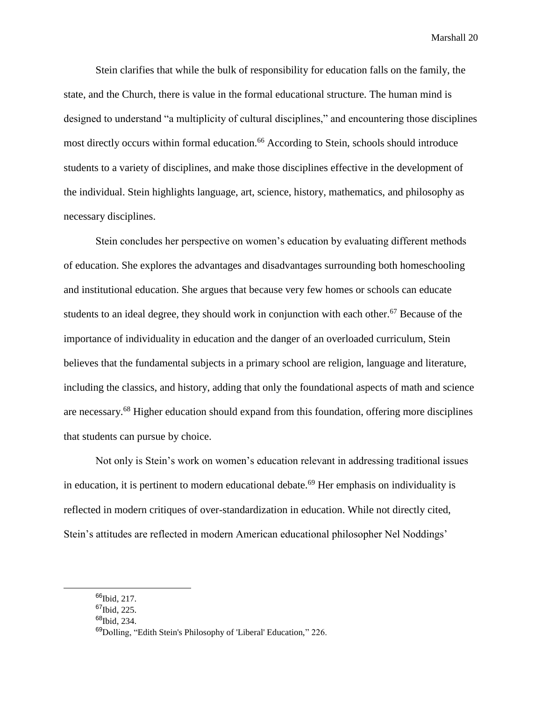Stein clarifies that while the bulk of responsibility for education falls on the family, the state, and the Church, there is value in the formal educational structure. The human mind is designed to understand "a multiplicity of cultural disciplines," and encountering those disciplines most directly occurs within formal education.<sup>66</sup> According to Stein, schools should introduce students to a variety of disciplines, and make those disciplines effective in the development of the individual. Stein highlights language, art, science, history, mathematics, and philosophy as necessary disciplines.

Stein concludes her perspective on women's education by evaluating different methods of education. She explores the advantages and disadvantages surrounding both homeschooling and institutional education. She argues that because very few homes or schools can educate students to an ideal degree, they should work in conjunction with each other.<sup>67</sup> Because of the importance of individuality in education and the danger of an overloaded curriculum, Stein believes that the fundamental subjects in a primary school are religion, language and literature, including the classics, and history, adding that only the foundational aspects of math and science are necessary.<sup>68</sup> Higher education should expand from this foundation, offering more disciplines that students can pursue by choice.

Not only is Stein's work on women's education relevant in addressing traditional issues in education, it is pertinent to modern educational debate.<sup>69</sup> Her emphasis on individuality is reflected in modern critiques of over-standardization in education. While not directly cited, Stein's attitudes are reflected in modern American educational philosopher Nel Noddings'

<sup>66</sup>Ibid, 217.

<sup>67</sup>Ibid, 225.

 $68$ Ibid, 234.

<sup>&</sup>lt;sup>69</sup>Dolling, "Edith Stein's Philosophy of 'Liberal' Education," 226.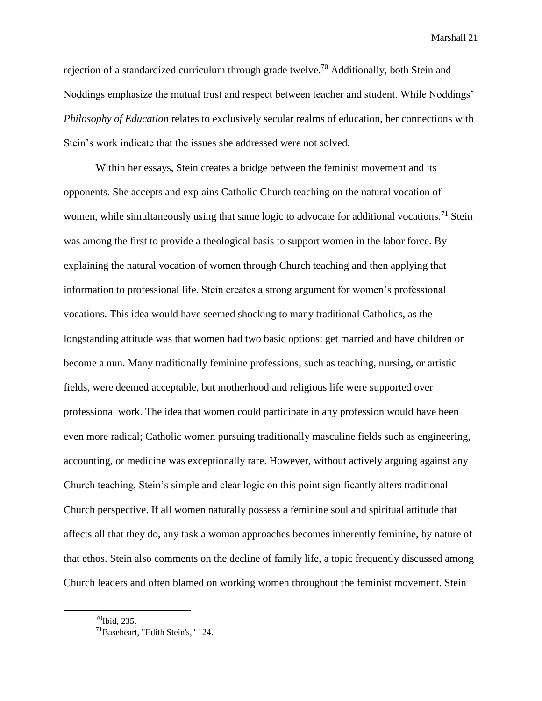rejection of a standardized curriculum through grade twelve.<sup>70</sup> Additionally, both Stein and Noddings emphasize the mutual trust and respect between teacher and student. While Noddings' *Philosophy of Education* relates to exclusively secular realms of education, her connections with Stein's work indicate that the issues she addressed were not solved.

Within her essays, Stein creates a bridge between the feminist movement and its opponents. She accepts and explains Catholic Church teaching on the natural vocation of women, while simultaneously using that same logic to advocate for additional vocations.<sup>71</sup> Stein was among the first to provide a theological basis to support women in the labor force. By explaining the natural vocation of women through Church teaching and then applying that information to professional life, Stein creates a strong argument for women's professional vocations. This idea would have seemed shocking to many traditional Catholics, as the longstanding attitude was that women had two basic options: get married and have children or become a nun. Many traditionally feminine professions, such as teaching, nursing, or artistic fields, were deemed acceptable, but motherhood and religious life were supported over professional work. The idea that women could participate in any profession would have been even more radical; Catholic women pursuing traditionally masculine fields such as engineering, accounting, or medicine was exceptionally rare. However, without actively arguing against any Church teaching, Stein's simple and clear logic on this point significantly alters traditional Church perspective. If all women naturally possess a feminine soul and spiritual attitude that affects all that they do, any task a woman approaches becomes inherently feminine, by nature of that ethos. Stein also comments on the decline of family life, a topic frequently discussed among Church leaders and often blamed on working women throughout the feminist movement. Stein

 $70$ Ibid, 235.

<sup>71</sup>Baseheart, "Edith Stein's," 124.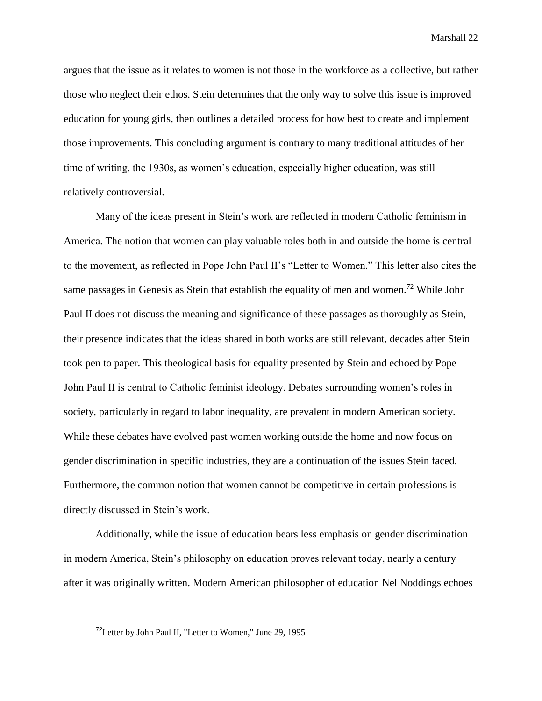argues that the issue as it relates to women is not those in the workforce as a collective, but rather those who neglect their ethos. Stein determines that the only way to solve this issue is improved education for young girls, then outlines a detailed process for how best to create and implement those improvements. This concluding argument is contrary to many traditional attitudes of her time of writing, the 1930s, as women's education, especially higher education, was still relatively controversial.

Many of the ideas present in Stein's work are reflected in modern Catholic feminism in America. The notion that women can play valuable roles both in and outside the home is central to the movement, as reflected in Pope John Paul II's "Letter to Women." This letter also cites the same passages in Genesis as Stein that establish the equality of men and women.<sup>72</sup> While John Paul II does not discuss the meaning and significance of these passages as thoroughly as Stein, their presence indicates that the ideas shared in both works are still relevant, decades after Stein took pen to paper. This theological basis for equality presented by Stein and echoed by Pope John Paul II is central to Catholic feminist ideology. Debates surrounding women's roles in society, particularly in regard to labor inequality, are prevalent in modern American society. While these debates have evolved past women working outside the home and now focus on gender discrimination in specific industries, they are a continuation of the issues Stein faced. Furthermore, the common notion that women cannot be competitive in certain professions is directly discussed in Stein's work.

Additionally, while the issue of education bears less emphasis on gender discrimination in modern America, Stein's philosophy on education proves relevant today, nearly a century after it was originally written. Modern American philosopher of education Nel Noddings echoes

<sup>72</sup>Letter by John Paul II, "Letter to Women," June 29, 1995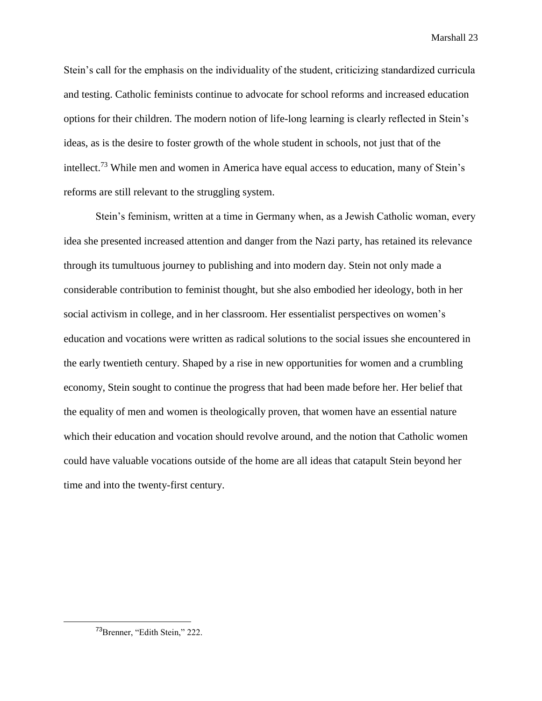Stein's call for the emphasis on the individuality of the student, criticizing standardized curricula and testing. Catholic feminists continue to advocate for school reforms and increased education options for their children. The modern notion of life-long learning is clearly reflected in Stein's ideas, as is the desire to foster growth of the whole student in schools, not just that of the intellect.<sup>73</sup> While men and women in America have equal access to education, many of Stein's reforms are still relevant to the struggling system.

Stein's feminism, written at a time in Germany when, as a Jewish Catholic woman, every idea she presented increased attention and danger from the Nazi party, has retained its relevance through its tumultuous journey to publishing and into modern day. Stein not only made a considerable contribution to feminist thought, but she also embodied her ideology, both in her social activism in college, and in her classroom. Her essentialist perspectives on women's education and vocations were written as radical solutions to the social issues she encountered in the early twentieth century. Shaped by a rise in new opportunities for women and a crumbling economy, Stein sought to continue the progress that had been made before her. Her belief that the equality of men and women is theologically proven, that women have an essential nature which their education and vocation should revolve around, and the notion that Catholic women could have valuable vocations outside of the home are all ideas that catapult Stein beyond her time and into the twenty-first century.

<sup>73</sup>Brenner, "Edith Stein," 222.